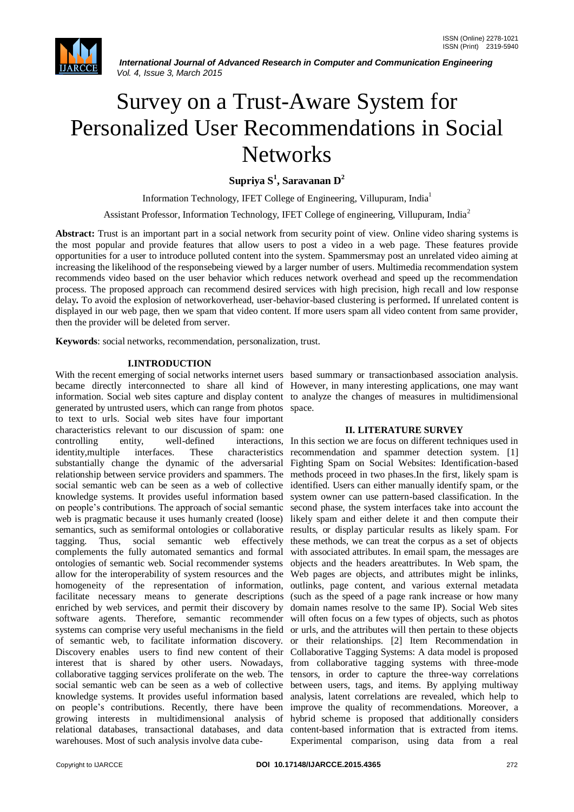

 *International Journal of Advanced Research in Computer and Communication Engineering Vol. 4, Issue 3, March 2015*

# Survey on a Trust-Aware System for Personalized User Recommendations in Social **Networks**

**Supriya S<sup>1</sup> , Saravanan D<sup>2</sup>**

Information Technology, IFET College of Engineering, Villupuram, India<sup>1</sup>

Assistant Professor, Information Technology, IFET College of engineering, Villupuram, India<sup>2</sup>

**Abstract:** Trust is an important part in a social network from security point of view. Online video sharing systems is the most popular and provide features that allow users to post a video in a web page. These features provide opportunities for a user to introduce polluted content into the system. Spammersmay post an unrelated video aiming at increasing the likelihood of the responsebeing viewed by a larger number of users. Multimedia recommendation system recommends video based on the user behavior which reduces network overhead and speed up the recommendation process. The proposed approach can recommend desired services with high precision, high recall and low response delay**.** To avoid the explosion of networkoverhead, user-behavior-based clustering is performed**.** If unrelated content is displayed in our web page, then we spam that video content. If more users spam all video content from same provider, then the provider will be deleted from server.

**Keywords**: social networks, recommendation, personalization, trust.

## **I.INTRODUCTION**

With the recent emerging of social networks internet users based summary or transactionbased association analysis. became directly interconnected to share all kind of However, in many interesting applications, one may want information. Social web sites capture and display content to analyze the changes of measures in multidimensional generated by untrusted users, which can range from photos space. to text to urls. Social web sites have four important characteristics relevant to our discussion of spam: one controlling entity, well-defined interactions, In this section we are focus on different techniques used in identity,multiple interfaces. These characteristics substantially change the dynamic of the adversarial relationship between service providers and spammers. The social semantic web can be seen as a web of collective knowledge systems. It provides useful information based on people's contributions. The approach of social semantic second phase, the system interfaces take into account the web is pragmatic because it uses humanly created (loose) semantics, such as semiformal ontologies or collaborative results, or display particular results as likely spam. For tagging. Thus, social semantic web effectively complements the fully automated semantics and formal ontologies of semantic web. Social recommender systems allow for the interoperability of system resources and the homogeneity of the representation of information, facilitate necessary means to generate descriptions (such as the speed of a page rank increase or how many enriched by web services, and permit their discovery by domain names resolve to the same IP). Social Web sites software agents. Therefore, semantic recommender will often focus on a few types of objects, such as photos systems can comprise very useful mechanisms in the field or urls, and the attributes will then pertain to these objects of semantic web, to facilitate information discovery. or their relationships. [2] Item Recommendation in Discovery enables users to find new content of their Collaborative Tagging Systems: A data model is proposed interest that is shared by other users. Nowadays, from collaborative tagging systems with three-mode collaborative tagging services proliferate on the web. The tensors, in order to capture the three-way correlations social semantic web can be seen as a web of collective knowledge systems. It provides useful information based on people's contributions. Recently, there have been growing interests in multidimensional analysis of relational databases, transactional databases, and data content-based information that is extracted from items. warehouses. Most of such analysis involve data cube-

#### **II. LITERATURE SURVEY**

recommendation and spammer detection system. [1] Fighting Spam on Social Websites: Identification-based methods proceed in two phases.In the first, likely spam is identified. Users can either manually identify spam, or the system owner can use pattern-based classification. In the likely spam and either delete it and then compute their these methods, we can treat the corpus as a set of objects with associated attributes. In email spam, the messages are objects and the headers areattributes. In Web spam, the Web pages are objects, and attributes might be inlinks, outlinks, page content, and various external metadata between users, tags, and items. By applying multiway analysis, latent correlations are revealed, which help to improve the quality of recommendations. Moreover, a hybrid scheme is proposed that additionally considers Experimental comparison, using data from a real